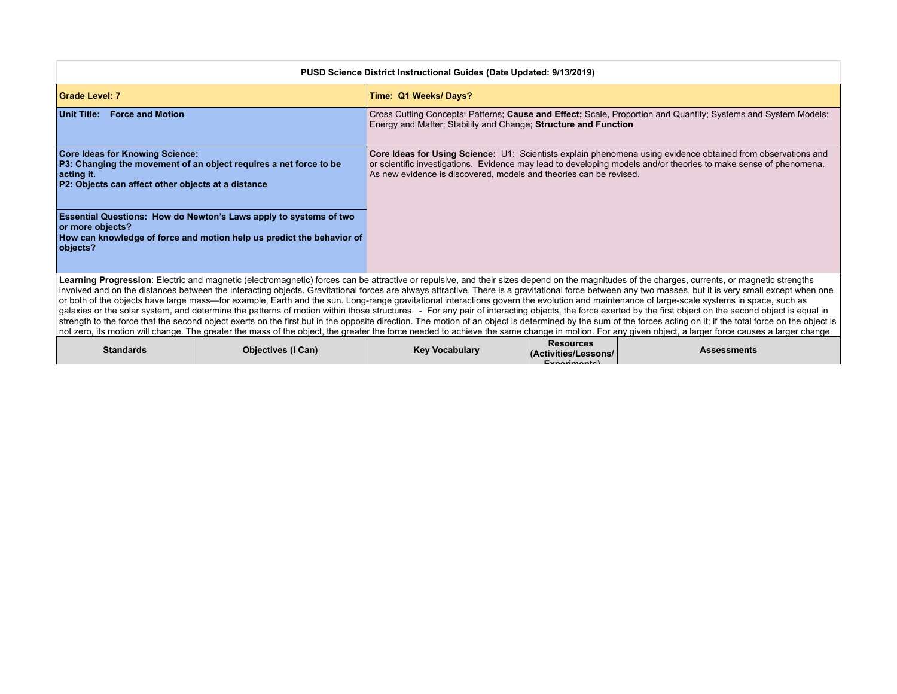| PUSD Science District Instructional Guides (Date Updated: 9/13/2019)                                                                                                                    |                                                                                                                                                                                                                                                                                                        |  |  |
|-----------------------------------------------------------------------------------------------------------------------------------------------------------------------------------------|--------------------------------------------------------------------------------------------------------------------------------------------------------------------------------------------------------------------------------------------------------------------------------------------------------|--|--|
| Grade Level: 7                                                                                                                                                                          | Time: Q1 Weeks/Days?                                                                                                                                                                                                                                                                                   |  |  |
| <b>Force and Motion</b><br>∣Unit Title:                                                                                                                                                 | Cross Cutting Concepts: Patterns; Cause and Effect; Scale, Proportion and Quantity; Systems and System Models;<br>Energy and Matter; Stability and Change; Structure and Function                                                                                                                      |  |  |
| <b>Core Ideas for Knowing Science:</b><br>P3: Changing the movement of an object requires a net force to be<br>∣acting it.<br><b>P2: Objects can affect other objects at a distance</b> | Core Ideas for Using Science: U1: Scientists explain phenomena using evidence obtained from observations and<br>or scientific investigations. Evidence may lead to developing models and/or theories to make sense of phenomena.<br>As new evidence is discovered, models and theories can be revised. |  |  |
| <b>Essential Questions: How do Newton's Laws apply to systems of two</b><br>or more objects?<br>How can knowledge of force and motion help us predict the behavior of<br>objects?       |                                                                                                                                                                                                                                                                                                        |  |  |
|                                                                                                                                                                                         | Learning Progression: Electric and magnetic (electromagnetic) forces can be attractive or repulsive, and their sizes depend on the magnitudes of the charges, currents, or magnetic strengths                                                                                                          |  |  |

involved and on the distances between the interacting objects. Gravitational forces are always attractive. There is a gravitational force between any two masses, but it is very small except when one or both of the objects have large mass—for example, Earth and the sun. Long-range gravitational interactions govern the evolution and maintenance of large-scale systems in space, such as galaxies or the solar system, and determine the patterns of motion within those structures. - For any pair of interacting objects, the force exerted by the first object on the second object is equal in strength to the force that the second object exerts on the first but in the opposite direction. The motion of an object is determined by the sum of the forces acting on it; if the total force on the object is in the object not zero, its motion will change. The greater the mass of the object, the greater the force needed to achieve the same change in motion. For any given object, a larger force causes a larger change

| <b>Standards</b> | <b>Objectives (I Can)</b> | $-$<br><b>Key Vocabulary</b> | <b>Resources</b><br>  (Activities/Lessons/<br>$E$ <i><u><u>r</u></u></i> | $\sim$ essments $\sim$<br>--- |
|------------------|---------------------------|------------------------------|--------------------------------------------------------------------------|-------------------------------|
|                  |                           |                              |                                                                          |                               |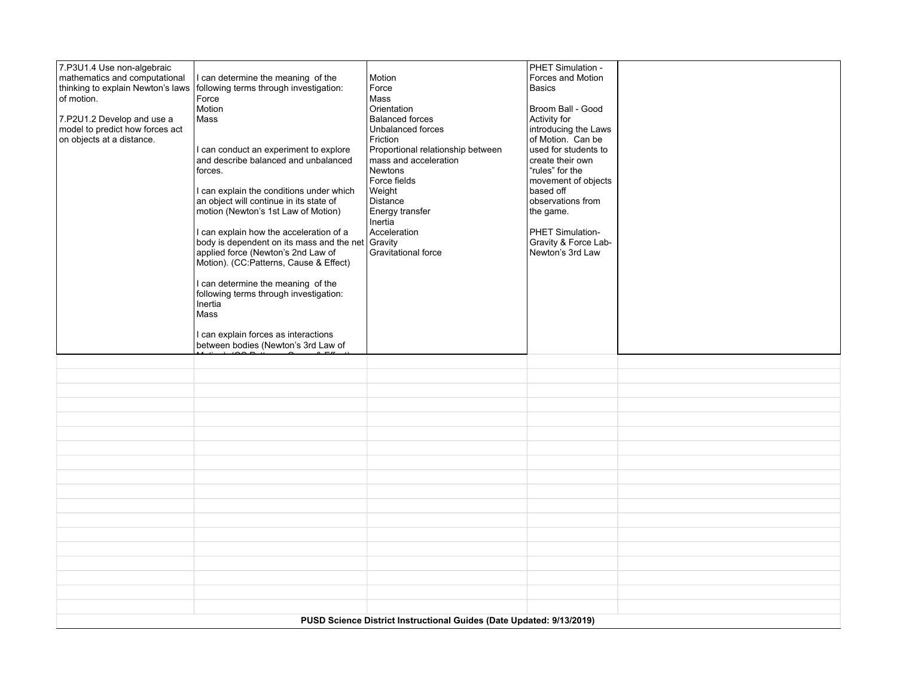| 7.P3U1.4 Use non-algebraic                                           |                                                                                      |                                   | PHET Simulation -                         |  |  |
|----------------------------------------------------------------------|--------------------------------------------------------------------------------------|-----------------------------------|-------------------------------------------|--|--|
| mathematics and computational                                        | I can determine the meaning of the                                                   | Motion                            | Forces and Motion                         |  |  |
| thinking to explain Newton's laws                                    | following terms through investigation:                                               | Force                             | <b>Basics</b>                             |  |  |
| of motion.                                                           | Force<br>Motion                                                                      | Mass<br>Orientation               | Broom Ball - Good                         |  |  |
|                                                                      |                                                                                      | <b>Balanced forces</b>            |                                           |  |  |
| 7.P2U1.2 Develop and use a                                           | Mass                                                                                 |                                   | Activity for                              |  |  |
| model to predict how forces act                                      |                                                                                      | Unbalanced forces                 | introducing the Laws<br>of Motion. Can be |  |  |
| on objects at a distance.                                            |                                                                                      | Friction                          |                                           |  |  |
|                                                                      | I can conduct an experiment to explore                                               | Proportional relationship between | used for students to                      |  |  |
|                                                                      | and describe balanced and unbalanced                                                 | mass and acceleration             | create their own                          |  |  |
|                                                                      | forces.                                                                              | <b>Newtons</b>                    | "rules" for the                           |  |  |
|                                                                      |                                                                                      | Force fields                      | movement of objects                       |  |  |
|                                                                      | I can explain the conditions under which                                             | Weight                            | based off<br>observations from            |  |  |
|                                                                      | an object will continue in its state of<br>motion (Newton's 1st Law of Motion)       | Distance                          | the game.                                 |  |  |
|                                                                      |                                                                                      | Energy transfer<br>Inertia        |                                           |  |  |
|                                                                      |                                                                                      | Acceleration                      | PHET Simulation-                          |  |  |
|                                                                      | I can explain how the acceleration of a<br>body is dependent on its mass and the net | Gravity                           | Gravity & Force Lab-                      |  |  |
|                                                                      | applied force (Newton's 2nd Law of                                                   | <b>Gravitational force</b>        | Newton's 3rd Law                          |  |  |
|                                                                      | Motion). (CC:Patterns, Cause & Effect)                                               |                                   |                                           |  |  |
|                                                                      |                                                                                      |                                   |                                           |  |  |
|                                                                      | I can determine the meaning of the                                                   |                                   |                                           |  |  |
|                                                                      | following terms through investigation:                                               |                                   |                                           |  |  |
|                                                                      | Inertia                                                                              |                                   |                                           |  |  |
|                                                                      | Mass                                                                                 |                                   |                                           |  |  |
|                                                                      |                                                                                      |                                   |                                           |  |  |
|                                                                      | I can explain forces as interactions                                                 |                                   |                                           |  |  |
|                                                                      | between bodies (Newton's 3rd Law of                                                  |                                   |                                           |  |  |
|                                                                      |                                                                                      |                                   |                                           |  |  |
|                                                                      |                                                                                      |                                   |                                           |  |  |
|                                                                      |                                                                                      |                                   |                                           |  |  |
|                                                                      |                                                                                      |                                   |                                           |  |  |
|                                                                      |                                                                                      |                                   |                                           |  |  |
|                                                                      |                                                                                      |                                   |                                           |  |  |
|                                                                      |                                                                                      |                                   |                                           |  |  |
|                                                                      |                                                                                      |                                   |                                           |  |  |
|                                                                      |                                                                                      |                                   |                                           |  |  |
|                                                                      |                                                                                      |                                   |                                           |  |  |
|                                                                      |                                                                                      |                                   |                                           |  |  |
|                                                                      |                                                                                      |                                   |                                           |  |  |
|                                                                      |                                                                                      |                                   |                                           |  |  |
|                                                                      |                                                                                      |                                   |                                           |  |  |
|                                                                      |                                                                                      |                                   |                                           |  |  |
|                                                                      |                                                                                      |                                   |                                           |  |  |
|                                                                      |                                                                                      |                                   |                                           |  |  |
|                                                                      |                                                                                      |                                   |                                           |  |  |
|                                                                      |                                                                                      |                                   |                                           |  |  |
| PUSD Science District Instructional Guides (Date Updated: 9/13/2019) |                                                                                      |                                   |                                           |  |  |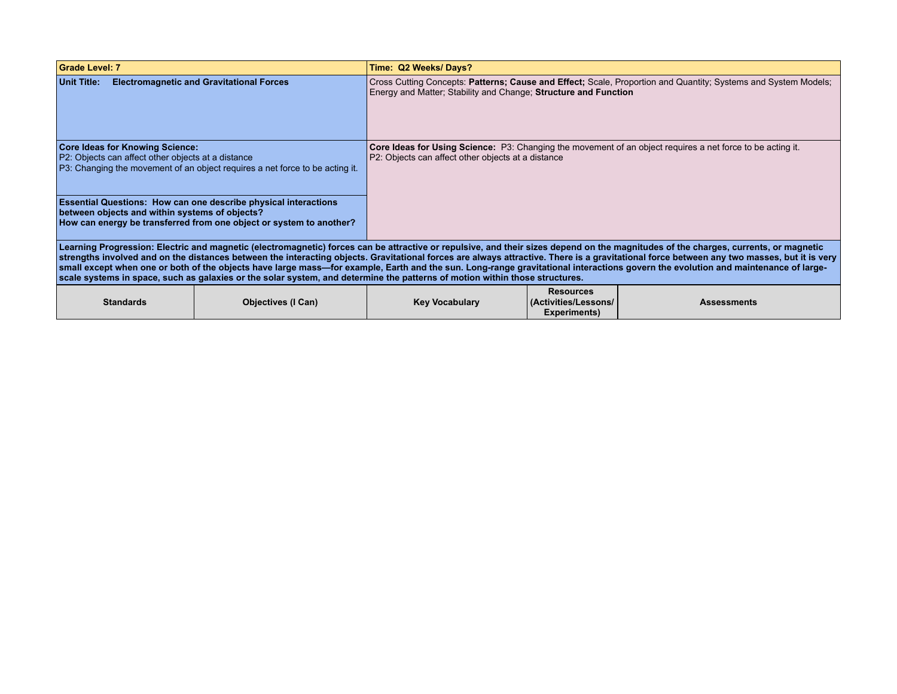| Grade Level: 7                                                                                                                                 |                                                                                                                                                                                                                               | Time: Q2 Weeks/Days?                                                                                                                                                              |                                                         |                                                                                                                                                                                                                                                                                                                                                                                                                                                                                                                                                                        |
|------------------------------------------------------------------------------------------------------------------------------------------------|-------------------------------------------------------------------------------------------------------------------------------------------------------------------------------------------------------------------------------|-----------------------------------------------------------------------------------------------------------------------------------------------------------------------------------|---------------------------------------------------------|------------------------------------------------------------------------------------------------------------------------------------------------------------------------------------------------------------------------------------------------------------------------------------------------------------------------------------------------------------------------------------------------------------------------------------------------------------------------------------------------------------------------------------------------------------------------|
| <b>Unit Title:</b>                                                                                                                             | <b>Electromagnetic and Gravitational Forces</b>                                                                                                                                                                               | Cross Cutting Concepts: Patterns; Cause and Effect; Scale, Proportion and Quantity; Systems and System Models;<br>Energy and Matter; Stability and Change; Structure and Function |                                                         |                                                                                                                                                                                                                                                                                                                                                                                                                                                                                                                                                                        |
| <b>Core Ideas for Knowing Science:</b><br>P2: Objects can affect other objects at a distance<br>between objects and within systems of objects? | P3: Changing the movement of an object reguires a net force to be acting it.<br><b>Essential Questions: How can one describe physical interactions</b><br>How can energy be transferred from one object or system to another? | <b>Core Ideas for Using Science:</b> P3: Changing the movement of an object requires a net force to be acting it.<br>P2: Objects can affect other objects at a distance           |                                                         |                                                                                                                                                                                                                                                                                                                                                                                                                                                                                                                                                                        |
|                                                                                                                                                | scale systems in space, such as galaxies or the solar system, and determine the patterns of motion within those structures.                                                                                                   |                                                                                                                                                                                   |                                                         | Learning Progression: Electric and magnetic (electromagnetic) forces can be attractive or repulsive, and their sizes depend on the magnitudes of the charges, currents, or magnetic<br>strengths involved and on the distances between the interacting objects. Gravitational forces are always attractive. There is a gravitational force between any two masses, but it is very<br>small except when one or both of the objects have large mass—for example, Earth and the sun. Long-range gravitational interactions govern the evolution and maintenance of large- |
| <b>Standards</b>                                                                                                                               | <b>Objectives (I Can)</b>                                                                                                                                                                                                     | <b>Key Vocabulary</b>                                                                                                                                                             | <b>Resources</b><br>Activities/Lessons/<br>Experiments) | <b>Assessments</b>                                                                                                                                                                                                                                                                                                                                                                                                                                                                                                                                                     |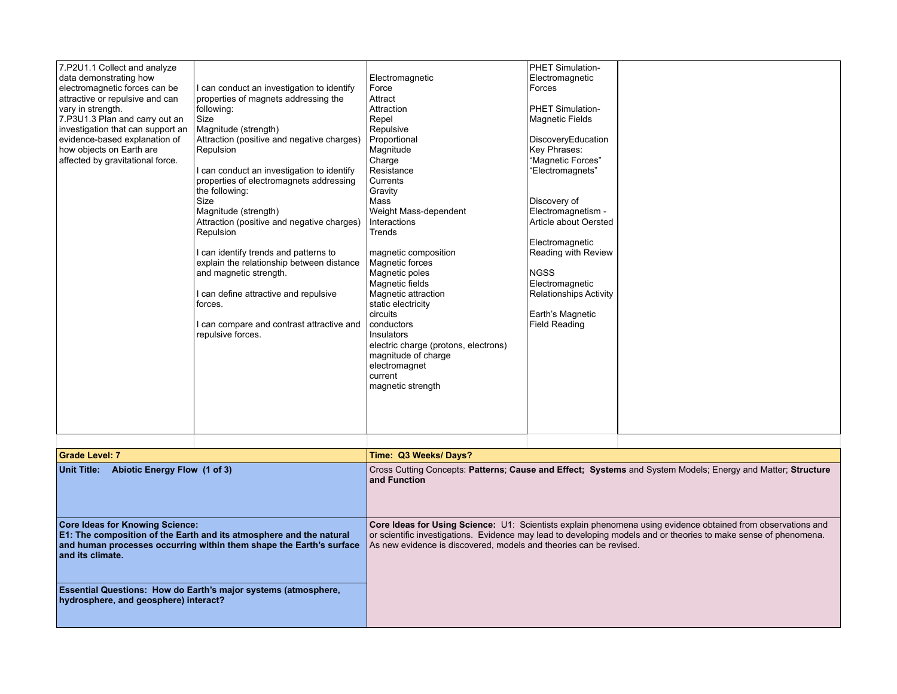| hydrosphere, and geosphere) interact?                                                                                                                                                                                                                                                                                   | Essential Questions: How do Earth's major systems (atmosphere,                                                                                                                                                                                                                                                                                                                                           |                                                                                                                                                                                                                                                                                   |                                                                                                                                                                                                                                                                     |                                                                                                                                                                                                                                  |
|-------------------------------------------------------------------------------------------------------------------------------------------------------------------------------------------------------------------------------------------------------------------------------------------------------------------------|----------------------------------------------------------------------------------------------------------------------------------------------------------------------------------------------------------------------------------------------------------------------------------------------------------------------------------------------------------------------------------------------------------|-----------------------------------------------------------------------------------------------------------------------------------------------------------------------------------------------------------------------------------------------------------------------------------|---------------------------------------------------------------------------------------------------------------------------------------------------------------------------------------------------------------------------------------------------------------------|----------------------------------------------------------------------------------------------------------------------------------------------------------------------------------------------------------------------------------|
| <b>Core Ideas for Knowing Science:</b><br>E1: The composition of the Earth and its atmosphere and the natural<br>and human processes occurring within them shape the Earth's surface<br>and its climate.                                                                                                                |                                                                                                                                                                                                                                                                                                                                                                                                          | As new evidence is discovered, models and theories can be revised.                                                                                                                                                                                                                |                                                                                                                                                                                                                                                                     | Core Ideas for Using Science: U1: Scientists explain phenomena using evidence obtained from observations and<br>or scientific investigations. Evidence may lead to developing models and or theories to make sense of phenomena. |
| Abiotic Energy Flow (1 of 3)<br>Unit Title:                                                                                                                                                                                                                                                                             |                                                                                                                                                                                                                                                                                                                                                                                                          | Cross Cutting Concepts: Patterns; Cause and Effect; Systems and System Models; Energy and Matter; Structure<br>and Function                                                                                                                                                       |                                                                                                                                                                                                                                                                     |                                                                                                                                                                                                                                  |
| <b>Grade Level: 7</b>                                                                                                                                                                                                                                                                                                   |                                                                                                                                                                                                                                                                                                                                                                                                          | Time: Q3 Weeks/Days?                                                                                                                                                                                                                                                              |                                                                                                                                                                                                                                                                     |                                                                                                                                                                                                                                  |
|                                                                                                                                                                                                                                                                                                                         | I can identify trends and patterns to<br>explain the relationship between distance<br>and magnetic strength.<br>I can define attractive and repulsive<br>forces.<br>I can compare and contrast attractive and<br>repulsive forces.                                                                                                                                                                       | magnetic composition<br>Magnetic forces<br>Magnetic poles<br>Magnetic fields<br>Magnetic attraction<br>static electricity<br>circuits<br>conductors<br>Insulators<br>electric charge (protons, electrons)<br>magnitude of charge<br>electromagnet<br>current<br>magnetic strength | Reading with Review<br><b>NGSS</b><br>Electromagnetic<br><b>Relationships Activity</b><br>Earth's Magnetic<br><b>Field Reading</b>                                                                                                                                  |                                                                                                                                                                                                                                  |
| 7.P2U1.1 Collect and analyze<br>data demonstrating how<br>electromagnetic forces can be<br>attractive or repulsive and can<br>vary in strength.<br>7.P3U1.3 Plan and carry out an<br>investigation that can support an<br>evidence-based explanation of<br>how objects on Earth are<br>affected by gravitational force. | I can conduct an investigation to identify<br>properties of magnets addressing the<br>following:<br>Size<br>Magnitude (strength)<br>Attraction (positive and negative charges)<br>Repulsion<br>I can conduct an investigation to identify<br>properties of electromagnets addressing<br>the following:<br><b>Size</b><br>Magnitude (strength)<br>Attraction (positive and negative charges)<br>Repulsion | Electromagnetic<br>Force<br>Attract<br>Attraction<br>Repel<br>Repulsive<br>Proportional<br>Magnitude<br>Charge<br>Resistance<br>Currents<br>Gravity<br>Mass<br>Weight Mass-dependent<br>Interactions<br>Trends                                                                    | PHET Simulation-<br>Electromagnetic<br>Forces<br><b>PHET Simulation-</b><br><b>Magnetic Fields</b><br>DiscoveryEducation<br>Key Phrases:<br>"Magnetic Forces"<br>"Electromagnets"<br>Discovery of<br>Electromagnetism -<br>Article about Oersted<br>Electromagnetic |                                                                                                                                                                                                                                  |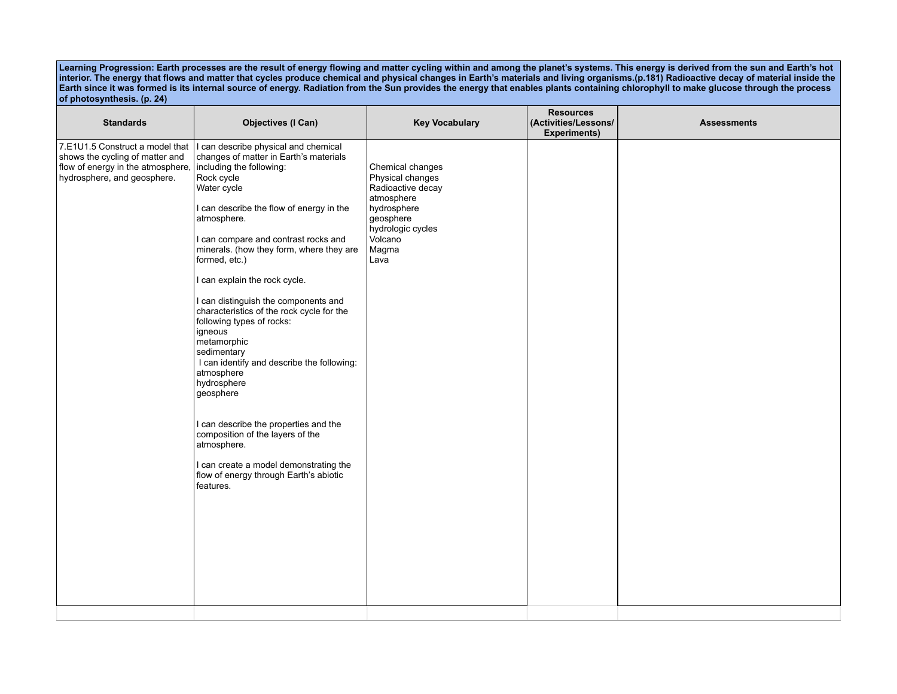**Learning Progression: Earth processes are the result of energy flowing and matter cycling within and among the planet's systems. This energy is derived from the sun and Earth's hot interior. The energy that flows and matter that cycles produce chemical and physical changes in Earth's materials and living organisms.(p.181) Radioactive decay of material inside the Earth since it was formed is its internal source of energy. Radiation from the Sun provides the energy that enables plants containing chlorophyll to make glucose through the process of photosynthesis. (p. 24)**

| <b>Standards</b>                                                                                                                       | <b>Objectives (I Can)</b>                                                                                                                                                                                                                                                                                                                                                                                                                                                                                                                                                                                                                                                                                                                                                                | <b>Key Vocabulary</b>                                                                                                                                | <b>Resources</b><br>(Activities/Lessons/<br><b>Experiments)</b> | <b>Assessments</b> |
|----------------------------------------------------------------------------------------------------------------------------------------|------------------------------------------------------------------------------------------------------------------------------------------------------------------------------------------------------------------------------------------------------------------------------------------------------------------------------------------------------------------------------------------------------------------------------------------------------------------------------------------------------------------------------------------------------------------------------------------------------------------------------------------------------------------------------------------------------------------------------------------------------------------------------------------|------------------------------------------------------------------------------------------------------------------------------------------------------|-----------------------------------------------------------------|--------------------|
| 7.E1U1.5 Construct a model that<br>shows the cycling of matter and<br>flow of energy in the atmosphere,<br>hydrosphere, and geosphere. | I can describe physical and chemical<br>changes of matter in Earth's materials<br>including the following:<br>Rock cycle<br>Water cycle<br>I can describe the flow of energy in the<br>atmosphere.<br>I can compare and contrast rocks and<br>minerals. (how they form, where they are<br>formed, etc.)<br>I can explain the rock cycle.<br>I can distinguish the components and<br>characteristics of the rock cycle for the<br>following types of rocks:<br>igneous<br>metamorphic<br>sedimentary<br>I can identify and describe the following:<br>atmosphere<br>hydrosphere<br>geosphere<br>I can describe the properties and the<br>composition of the layers of the<br>atmosphere.<br>I can create a model demonstrating the<br>flow of energy through Earth's abiotic<br>features. | Chemical changes<br>Physical changes<br>Radioactive decay<br>atmosphere<br>hydrosphere<br>geosphere<br>hydrologic cycles<br>Volcano<br>Magma<br>Lava |                                                                 |                    |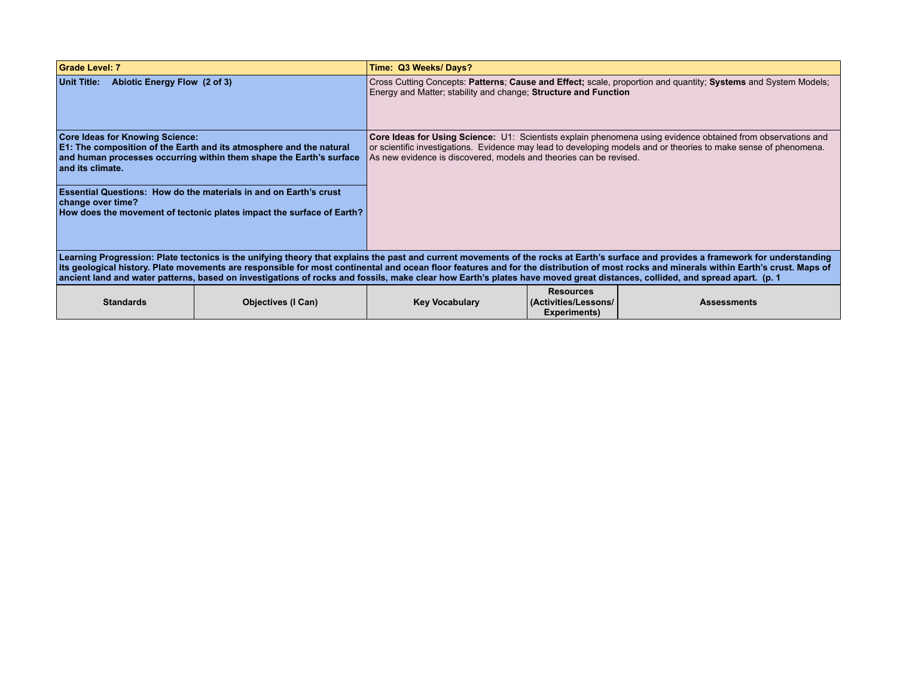| Grade Level: 7                                             |                                                                                                                                                                            | Time: Q3 Weeks/Days?                                                                                                                                                                                                                                                                                   |                                                          |                                                                                                                                                                                                                                                                                                                                                                                 |  |
|------------------------------------------------------------|----------------------------------------------------------------------------------------------------------------------------------------------------------------------------|--------------------------------------------------------------------------------------------------------------------------------------------------------------------------------------------------------------------------------------------------------------------------------------------------------|----------------------------------------------------------|---------------------------------------------------------------------------------------------------------------------------------------------------------------------------------------------------------------------------------------------------------------------------------------------------------------------------------------------------------------------------------|--|
| Abiotic Energy Flow (2 of 3)<br><b>Unit Title:</b>         |                                                                                                                                                                            | Cross Cutting Concepts: Patterns; Cause and Effect; scale, proportion and quantity; Systems and System Models;<br>Energy and Matter; stability and change; Structure and Function                                                                                                                      |                                                          |                                                                                                                                                                                                                                                                                                                                                                                 |  |
| <b>Core Ideas for Knowing Science:</b><br>and its climate. | <b>E1: The composition of the Earth and its atmosphere and the natural</b><br>and human processes occurring within them shape the Earth's surface                          | Core Ideas for Using Science: U1: Scientists explain phenomena using evidence obtained from observations and<br>or scientific investigations. Evidence may lead to developing models and or theories to make sense of phenomena.<br>As new evidence is discovered, models and theories can be revised. |                                                          |                                                                                                                                                                                                                                                                                                                                                                                 |  |
| change over time?                                          | <b>Essential Questions: How do the materials in and on Earth's crust</b><br>How does the movement of tectonic plates impact the surface of Earth?                          |                                                                                                                                                                                                                                                                                                        |                                                          |                                                                                                                                                                                                                                                                                                                                                                                 |  |
|                                                            | ancient land and water patterns, based on investigations of rocks and fossils, make clear how Earth's plates have moved great distances, collided, and spread apart. (p. 1 |                                                                                                                                                                                                                                                                                                        |                                                          | Learning Progression: Plate tectonics is the unifying theory that explains the past and current movements of the rocks at Earth's surface and provides a framework for understanding<br>its geological history. Plate movements are responsible for most continental and ocean floor features and for the distribution of most rocks and minerals within Earth's crust. Maps of |  |
| <b>Standards</b>                                           | <b>Objectives (I Can)</b>                                                                                                                                                  | <b>Key Vocabulary</b>                                                                                                                                                                                                                                                                                  | <b>Resources</b><br>(Activities/Lessons/<br>Experiments) | <b>Assessments</b>                                                                                                                                                                                                                                                                                                                                                              |  |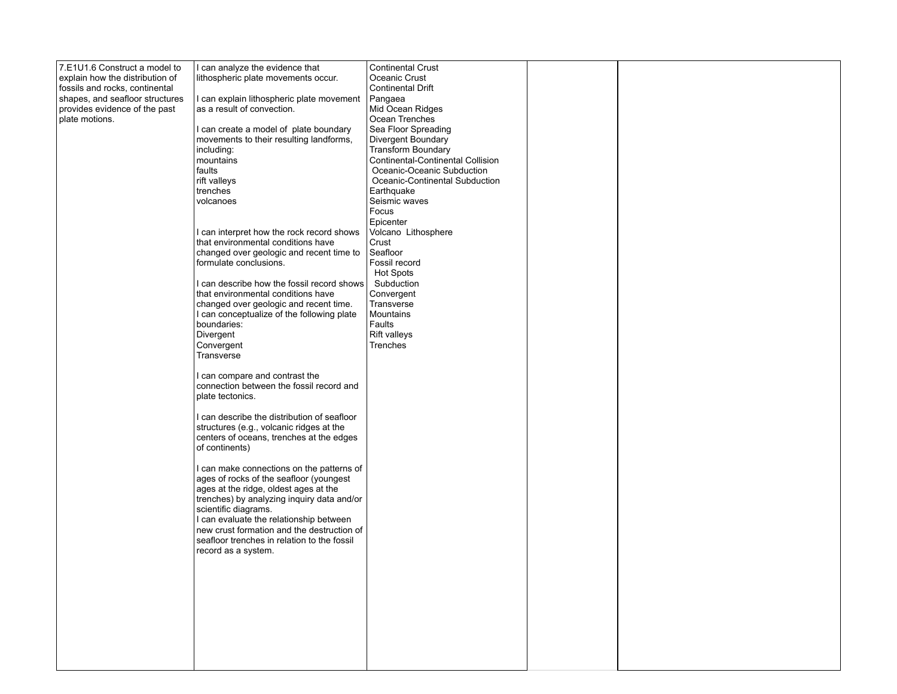| 7.E1U1.6 Construct a model to   | I can analyze the evidence that              | Continental Crust                 |  |
|---------------------------------|----------------------------------------------|-----------------------------------|--|
| explain how the distribution of | lithospheric plate movements occur.          | Oceanic Crust                     |  |
| fossils and rocks, continental  |                                              | <b>Continental Drift</b>          |  |
| shapes, and seafloor structures | I can explain lithospheric plate movement    | Pangaea                           |  |
| provides evidence of the past   | as a result of convection.                   | Mid Ocean Ridges                  |  |
| plate motions.                  |                                              | Ocean Trenches                    |  |
|                                 | I can create a model of plate boundary       | Sea Floor Spreading               |  |
|                                 | movements to their resulting landforms,      | Divergent Boundary                |  |
|                                 | including:                                   | Transform Boundary                |  |
|                                 | mountains                                    | Continental-Continental Collision |  |
|                                 | faults                                       | Oceanic-Oceanic Subduction        |  |
|                                 | rift valleys                                 | Oceanic-Continental Subduction    |  |
|                                 | trenches                                     | Earthquake                        |  |
|                                 | volcanoes                                    | Seismic waves                     |  |
|                                 |                                              | Focus                             |  |
|                                 |                                              |                                   |  |
|                                 |                                              | Epicenter                         |  |
|                                 | I can interpret how the rock record shows    | Volcano Lithosphere               |  |
|                                 | that environmental conditions have           | Crust                             |  |
|                                 | changed over geologic and recent time to     | Seafloor                          |  |
|                                 | formulate conclusions.                       | Fossil record                     |  |
|                                 |                                              | <b>Hot Spots</b>                  |  |
|                                 | I can describe how the fossil record shows I | Subduction                        |  |
|                                 | that environmental conditions have           | Convergent                        |  |
|                                 | changed over geologic and recent time.       | Transverse                        |  |
|                                 | I can conceptualize of the following plate   | Mountains                         |  |
|                                 | boundaries:                                  | Faults                            |  |
|                                 | Divergent                                    | Rift valleys                      |  |
|                                 | Convergent                                   | Trenches                          |  |
|                                 | Transverse                                   |                                   |  |
|                                 |                                              |                                   |  |
|                                 | I can compare and contrast the               |                                   |  |
|                                 | connection between the fossil record and     |                                   |  |
|                                 | plate tectonics.                             |                                   |  |
|                                 |                                              |                                   |  |
|                                 | I can describe the distribution of seafloor  |                                   |  |
|                                 | structures (e.g., volcanic ridges at the     |                                   |  |
|                                 | centers of oceans, trenches at the edges     |                                   |  |
|                                 | of continents)                               |                                   |  |
|                                 |                                              |                                   |  |
|                                 | I can make connections on the patterns of    |                                   |  |
|                                 | ages of rocks of the seafloor (youngest      |                                   |  |
|                                 | ages at the ridge, oldest ages at the        |                                   |  |
|                                 | trenches) by analyzing inquiry data and/or   |                                   |  |
|                                 | scientific diagrams.                         |                                   |  |
|                                 | I can evaluate the relationship between      |                                   |  |
|                                 | new crust formation and the destruction of   |                                   |  |
|                                 | seafloor trenches in relation to the fossil  |                                   |  |
|                                 | record as a system.                          |                                   |  |
|                                 |                                              |                                   |  |
|                                 |                                              |                                   |  |
|                                 |                                              |                                   |  |
|                                 |                                              |                                   |  |
|                                 |                                              |                                   |  |
|                                 |                                              |                                   |  |
|                                 |                                              |                                   |  |
|                                 |                                              |                                   |  |
|                                 |                                              |                                   |  |
|                                 |                                              |                                   |  |
|                                 |                                              |                                   |  |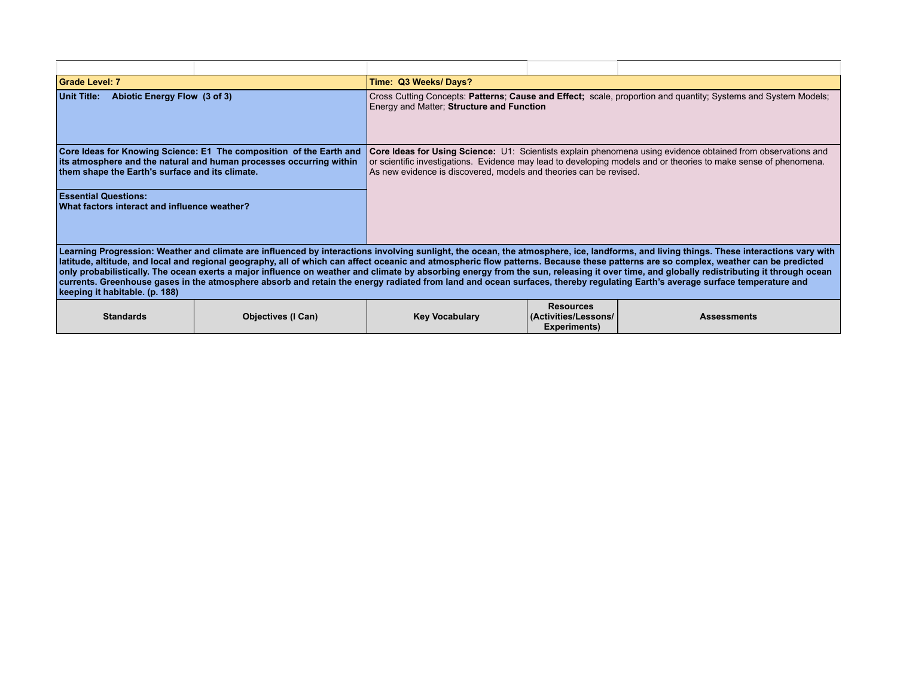| Grade Level: 7                                                              |                                                                                                                                                                                                                                                                                                                                                                                                                                                                                                                                                                                                                                                                                                                                                            | Time: Q3 Weeks/Days?                                                                                                                                                                                                                                                                                   |                                                                 |                    |  |
|-----------------------------------------------------------------------------|------------------------------------------------------------------------------------------------------------------------------------------------------------------------------------------------------------------------------------------------------------------------------------------------------------------------------------------------------------------------------------------------------------------------------------------------------------------------------------------------------------------------------------------------------------------------------------------------------------------------------------------------------------------------------------------------------------------------------------------------------------|--------------------------------------------------------------------------------------------------------------------------------------------------------------------------------------------------------------------------------------------------------------------------------------------------------|-----------------------------------------------------------------|--------------------|--|
| Abiotic Energy Flow (3 of 3)<br>Unit Title:                                 |                                                                                                                                                                                                                                                                                                                                                                                                                                                                                                                                                                                                                                                                                                                                                            | Cross Cutting Concepts: Patterns; Cause and Effect; scale, proportion and quantity; Systems and System Models;<br>Energy and Matter; Structure and Function                                                                                                                                            |                                                                 |                    |  |
| them shape the Earth's surface and its climate.                             | Core Ideas for Knowing Science: E1 The composition of the Earth and<br>its atmosphere and the natural and human processes occurring within                                                                                                                                                                                                                                                                                                                                                                                                                                                                                                                                                                                                                 | Core Ideas for Using Science: U1: Scientists explain phenomena using evidence obtained from observations and<br>or scientific investigations. Evidence may lead to developing models and or theories to make sense of phenomena.<br>As new evidence is discovered, models and theories can be revised. |                                                                 |                    |  |
| <b>Essential Questions:</b><br>What factors interact and influence weather? |                                                                                                                                                                                                                                                                                                                                                                                                                                                                                                                                                                                                                                                                                                                                                            |                                                                                                                                                                                                                                                                                                        |                                                                 |                    |  |
| keeping it habitable. (p. 188)                                              | Learning Progression: Weather and climate are influenced by interactions involving sunlight, the ocean, the atmosphere, ice, landforms, and living things. These interactions vary with<br>Iatitude, altitude, and local and regional geography, all of which can affect oceanic and atmospheric flow patterns. Because these patterns are so complex, weather can be predicted<br>only probabilistically. The ocean exerts a major influence on weather and climate by absorbing energy from the sun, releasing it over time, and globally redistributing it through ocean<br>currents. Greenhouse gases in the atmosphere absorb and retain the energy radiated from land and ocean surfaces, thereby regulating Earth's average surface temperature and |                                                                                                                                                                                                                                                                                                        |                                                                 |                    |  |
| <b>Standards</b>                                                            | <b>Objectives (I Can)</b>                                                                                                                                                                                                                                                                                                                                                                                                                                                                                                                                                                                                                                                                                                                                  | <b>Key Vocabulary</b>                                                                                                                                                                                                                                                                                  | <b>Resources</b><br>(Activities/Lessons/<br><b>Experiments)</b> | <b>Assessments</b> |  |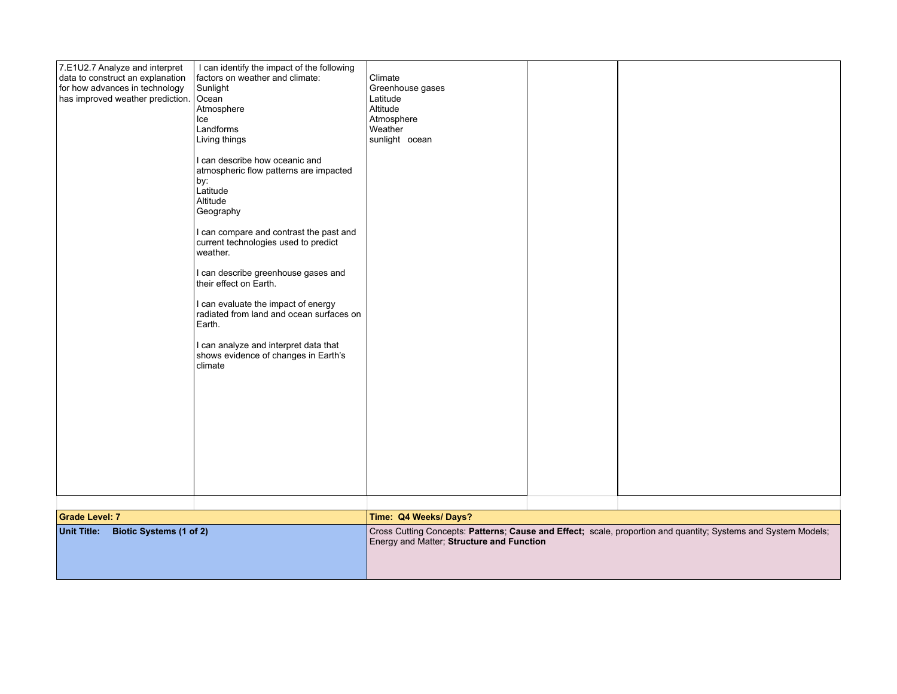| 7.E1U2.7 Analyze and interpret<br>data to construct an explanation<br>for how advances in technology<br>has improved weather prediction. Ocean | I can identify the impact of the following<br>factors on weather and climate:<br>Sunlight<br>Atmosphere<br>Ice<br>Landforms<br>Living things<br>I can describe how oceanic and<br>atmospheric flow patterns are impacted<br>by:<br>Latitude<br>Altitude<br>Geography<br>I can compare and contrast the past and<br>current technologies used to predict<br>weather.<br>I can describe greenhouse gases and<br>their effect on Earth.<br>I can evaluate the impact of energy<br>radiated from land and ocean surfaces on<br>Earth.<br>I can analyze and interpret data that<br>shows evidence of changes in Earth's<br>climate | Climate<br>Greenhouse gases<br>Latitude<br>Altitude<br>Atmosphere<br>Weather<br>sunlight ocean |  |  |
|------------------------------------------------------------------------------------------------------------------------------------------------|-------------------------------------------------------------------------------------------------------------------------------------------------------------------------------------------------------------------------------------------------------------------------------------------------------------------------------------------------------------------------------------------------------------------------------------------------------------------------------------------------------------------------------------------------------------------------------------------------------------------------------|------------------------------------------------------------------------------------------------|--|--|
|------------------------------------------------------------------------------------------------------------------------------------------------|-------------------------------------------------------------------------------------------------------------------------------------------------------------------------------------------------------------------------------------------------------------------------------------------------------------------------------------------------------------------------------------------------------------------------------------------------------------------------------------------------------------------------------------------------------------------------------------------------------------------------------|------------------------------------------------------------------------------------------------|--|--|

| <b>Grade Level: 7</b>               | Time: Q4 Weeks/Days? |                                                                                                                                                             |  |  |
|-------------------------------------|----------------------|-------------------------------------------------------------------------------------------------------------------------------------------------------------|--|--|
| Unit Title: Biotic Systems (1 of 2) |                      | Cross Cutting Concepts: Patterns; Cause and Effect; scale, proportion and quantity; Systems and System Models;<br>Energy and Matter; Structure and Function |  |  |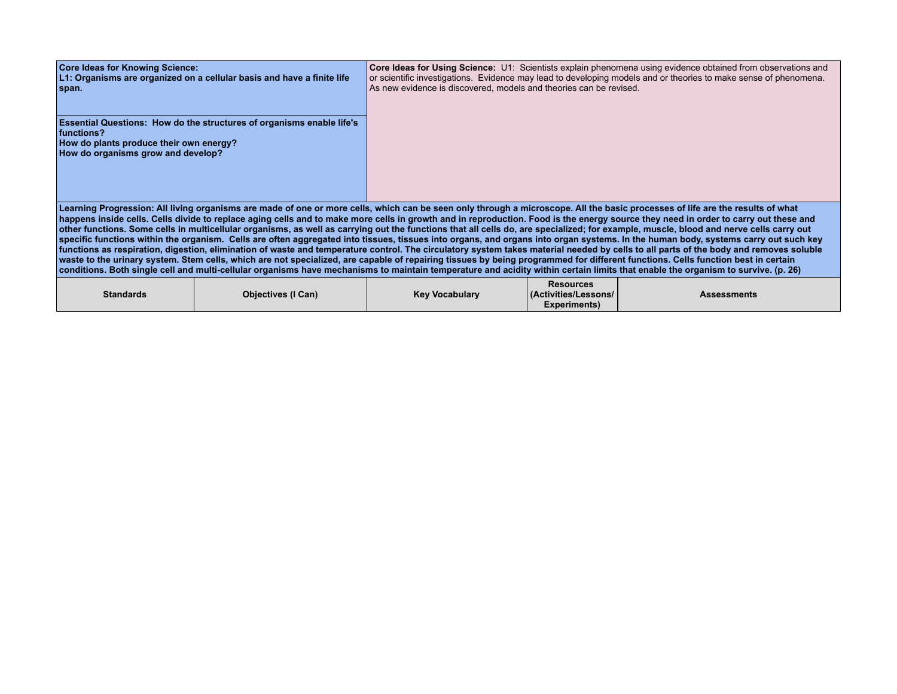| <b>Core Ideas for Knowing Science:</b><br>span.                                                                                                                                                                                                                                                                                                                                                                                                                                                                                                                                                                                                                                                                                                                                                                                                                                                                                                                                                                                                                                                                                                                                                                                                                                                                        | L1: Organisms are organized on a cellular basis and have a finite life       | As new evidence is discovered, models and theories can be revised. |                                          | Core Ideas for Using Science: U1: Scientists explain phenomena using evidence obtained from observations and<br>or scientific investigations. Evidence may lead to developing models and or theories to make sense of phenomena. |  |
|------------------------------------------------------------------------------------------------------------------------------------------------------------------------------------------------------------------------------------------------------------------------------------------------------------------------------------------------------------------------------------------------------------------------------------------------------------------------------------------------------------------------------------------------------------------------------------------------------------------------------------------------------------------------------------------------------------------------------------------------------------------------------------------------------------------------------------------------------------------------------------------------------------------------------------------------------------------------------------------------------------------------------------------------------------------------------------------------------------------------------------------------------------------------------------------------------------------------------------------------------------------------------------------------------------------------|------------------------------------------------------------------------------|--------------------------------------------------------------------|------------------------------------------|----------------------------------------------------------------------------------------------------------------------------------------------------------------------------------------------------------------------------------|--|
| functions?<br>How do plants produce their own energy?<br>How do organisms grow and develop?                                                                                                                                                                                                                                                                                                                                                                                                                                                                                                                                                                                                                                                                                                                                                                                                                                                                                                                                                                                                                                                                                                                                                                                                                            | <b>Essential Questions: How do the structures of organisms enable life's</b> |                                                                    |                                          |                                                                                                                                                                                                                                  |  |
| Learning Progression: All living organisms are made of one or more cells, which can be seen only through a microscope. All the basic processes of life are the results of what<br>happens inside cells. Cells divide to replace aging cells and to make more cells in growth and in reproduction. Food is the energy source they need in order to carry out these and<br>other functions. Some cells in multicellular organisms, as well as carrying out the functions that all cells do, are specialized; for example, muscle, blood and nerve cells carry out<br>specific functions within the organism. Cells are often aggregated into tissues, tissues into organs, and organs into organ systems. In the human body, systems carry out such key<br>functions as respiration, digestion, elimination of waste and temperature control. The circulatory system takes material needed by cells to all parts of the body and removes soluble<br>waste to the urinary system. Stem cells, which are not specialized, are capable of repairing tissues by being programmed for different functions. Cells function best in certain<br>conditions. Both single cell and multi-cellular organisms have mechanisms to maintain temperature and acidity within certain limits that enable the organism to survive. (p. 26) |                                                                              |                                                                    |                                          |                                                                                                                                                                                                                                  |  |
| <b>Standards</b>                                                                                                                                                                                                                                                                                                                                                                                                                                                                                                                                                                                                                                                                                                                                                                                                                                                                                                                                                                                                                                                                                                                                                                                                                                                                                                       | <b>Objectives (I Can)</b>                                                    | <b>Key Vocabulary</b>                                              | <b>Resources</b><br>(Activities/Lessons/ | <b>Assessments</b>                                                                                                                                                                                                               |  |

**Experiments)**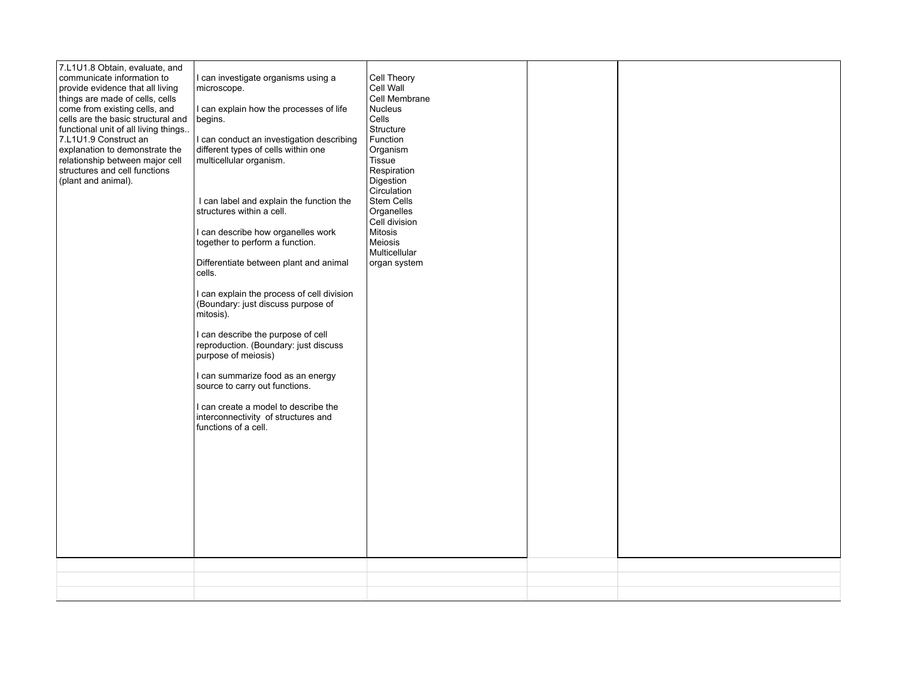| 7.L1U1.8 Obtain, evaluate, and<br>communicate information to<br>provide evidence that all living<br>things are made of cells, cells<br>come from existing cells, and<br>cells are the basic structural and<br>functional unit of all living things<br>7.L1U1.9 Construct an<br>explanation to demonstrate the<br>relationship between major cell<br>structures and cell functions<br>(plant and animal). | I can investigate organisms using a<br>microscope.<br>I can explain how the processes of life<br>begins.<br>I can conduct an investigation describing<br>different types of cells within one<br>multicellular organism.<br>I can label and explain the function the<br>structures within a cell.<br>I can describe how organelles work<br>together to perform a function.<br>Differentiate between plant and animal<br>cells.<br>I can explain the process of cell division<br>(Boundary: just discuss purpose of<br>mitosis).<br>I can describe the purpose of cell<br>reproduction. (Boundary: just discuss<br>purpose of meiosis)<br>I can summarize food as an energy<br>source to carry out functions.<br>I can create a model to describe the<br>interconnectivity of structures and<br>functions of a cell. | Cell Theory<br>Cell Wall<br>Cell Membrane<br>Nucleus<br>Cells<br>Structure<br>Function<br>Organism<br>Tissue<br>Respiration<br>Digestion<br>Circulation<br>Stem Cells<br>Organelles<br>Cell division<br>Mitosis<br>Meiosis<br>Multicellular<br>organ system |  |
|----------------------------------------------------------------------------------------------------------------------------------------------------------------------------------------------------------------------------------------------------------------------------------------------------------------------------------------------------------------------------------------------------------|--------------------------------------------------------------------------------------------------------------------------------------------------------------------------------------------------------------------------------------------------------------------------------------------------------------------------------------------------------------------------------------------------------------------------------------------------------------------------------------------------------------------------------------------------------------------------------------------------------------------------------------------------------------------------------------------------------------------------------------------------------------------------------------------------------------------|-------------------------------------------------------------------------------------------------------------------------------------------------------------------------------------------------------------------------------------------------------------|--|
|                                                                                                                                                                                                                                                                                                                                                                                                          |                                                                                                                                                                                                                                                                                                                                                                                                                                                                                                                                                                                                                                                                                                                                                                                                                    |                                                                                                                                                                                                                                                             |  |
|                                                                                                                                                                                                                                                                                                                                                                                                          |                                                                                                                                                                                                                                                                                                                                                                                                                                                                                                                                                                                                                                                                                                                                                                                                                    |                                                                                                                                                                                                                                                             |  |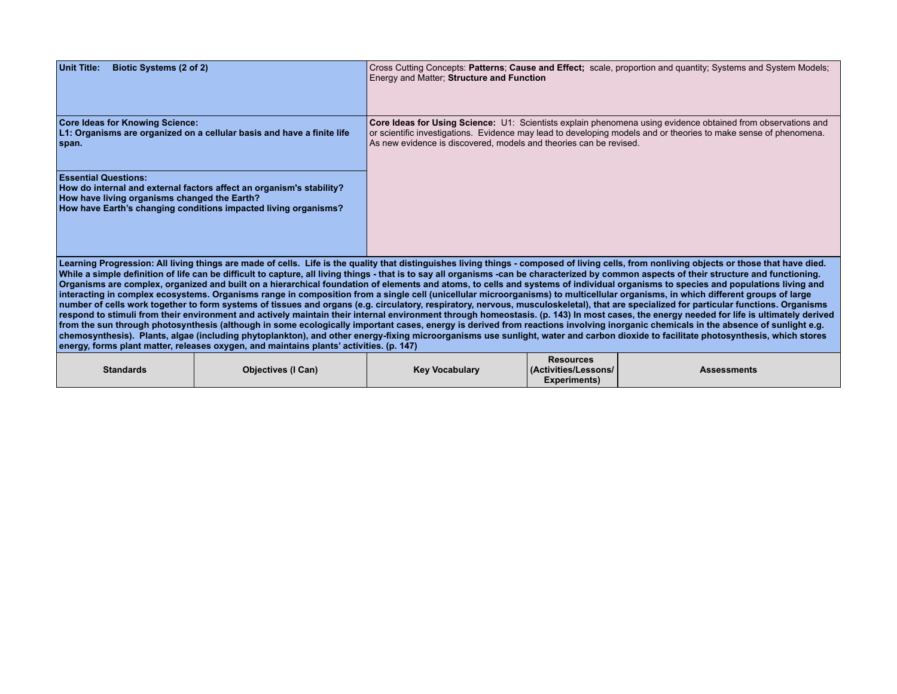| <b>Unit Title:</b><br><b>Biotic Systems (2 of 2)</b>                                                                                                                                                                                                                                                                                                                                                                                                                                                                                                                                                                                                                                                                                                                                                                                                                                                                                                                                                                                                                                                                                                                                                                                                                                                                                                                                                                                                                                                                                                                                                                              |                                                                                                                                         | Energy and Matter; Structure and Function                          |                                          | Cross Cutting Concepts: Patterns; Cause and Effect; scale, proportion and quantity; Systems and System Models;                                                                                                                   |  |  |
|-----------------------------------------------------------------------------------------------------------------------------------------------------------------------------------------------------------------------------------------------------------------------------------------------------------------------------------------------------------------------------------------------------------------------------------------------------------------------------------------------------------------------------------------------------------------------------------------------------------------------------------------------------------------------------------------------------------------------------------------------------------------------------------------------------------------------------------------------------------------------------------------------------------------------------------------------------------------------------------------------------------------------------------------------------------------------------------------------------------------------------------------------------------------------------------------------------------------------------------------------------------------------------------------------------------------------------------------------------------------------------------------------------------------------------------------------------------------------------------------------------------------------------------------------------------------------------------------------------------------------------------|-----------------------------------------------------------------------------------------------------------------------------------------|--------------------------------------------------------------------|------------------------------------------|----------------------------------------------------------------------------------------------------------------------------------------------------------------------------------------------------------------------------------|--|--|
| <b>Core Ideas for Knowing Science:</b><br>span.                                                                                                                                                                                                                                                                                                                                                                                                                                                                                                                                                                                                                                                                                                                                                                                                                                                                                                                                                                                                                                                                                                                                                                                                                                                                                                                                                                                                                                                                                                                                                                                   | L1: Organisms are organized on a cellular basis and have a finite life                                                                  | As new evidence is discovered, models and theories can be revised. |                                          | Core Ideas for Using Science: U1: Scientists explain phenomena using evidence obtained from observations and<br>or scientific investigations. Evidence may lead to developing models and or theories to make sense of phenomena. |  |  |
| <b>Essential Questions:</b><br>How have living organisms changed the Earth?                                                                                                                                                                                                                                                                                                                                                                                                                                                                                                                                                                                                                                                                                                                                                                                                                                                                                                                                                                                                                                                                                                                                                                                                                                                                                                                                                                                                                                                                                                                                                       | How do internal and external factors affect an organism's stability?<br>How have Earth's changing conditions impacted living organisms? |                                                                    |                                          |                                                                                                                                                                                                                                  |  |  |
| Learning Progression: All living things are made of cells. Life is the quality that distinguishes living things - composed of living cells, from nonliving objects or those that have died.<br>While a simple definition of life can be difficult to capture, all living things - that is to say all organisms -can be characterized by common aspects of their structure and functioning.<br>Organisms are complex, organized and built on a hierarchical foundation of elements and atoms, to cells and systems of individual organisms to species and populations living and<br>interacting in complex ecosystems. Organisms range in composition from a single cell (unicellular microorganisms) to multicellular organisms, in which different groups of large<br>number of cells work together to form systems of tissues and organs (e.g. circulatory, respiratory, nervous, musculoskeletal), that are specialized for particular functions. Organisms<br>respond to stimuli from their environment and actively maintain their internal environment through homeostasis. (p. 143) In most cases, the energy needed for life is ultimately derived<br>from the sun through photosynthesis (although in some ecologically important cases, energy is derived from reactions involving inorganic chemicals in the absence of sunlight e.g.<br>chemosynthesis). Plants, algae (including phytoplankton), and other energy-fixing microorganisms use sunlight, water and carbon dioxide to facilitate photosynthesis, which stores<br>energy, forms plant matter, releases oxygen, and maintains plants' activities. (p. 147) |                                                                                                                                         |                                                                    |                                          |                                                                                                                                                                                                                                  |  |  |
| <b>Standards</b>                                                                                                                                                                                                                                                                                                                                                                                                                                                                                                                                                                                                                                                                                                                                                                                                                                                                                                                                                                                                                                                                                                                                                                                                                                                                                                                                                                                                                                                                                                                                                                                                                  | <b>Objectives (I Can)</b>                                                                                                               | <b>Key Vocabulary</b>                                              | <b>Resources</b><br>(Activities/Lessons/ | <b>Assessments</b>                                                                                                                                                                                                               |  |  |

**Experiments)**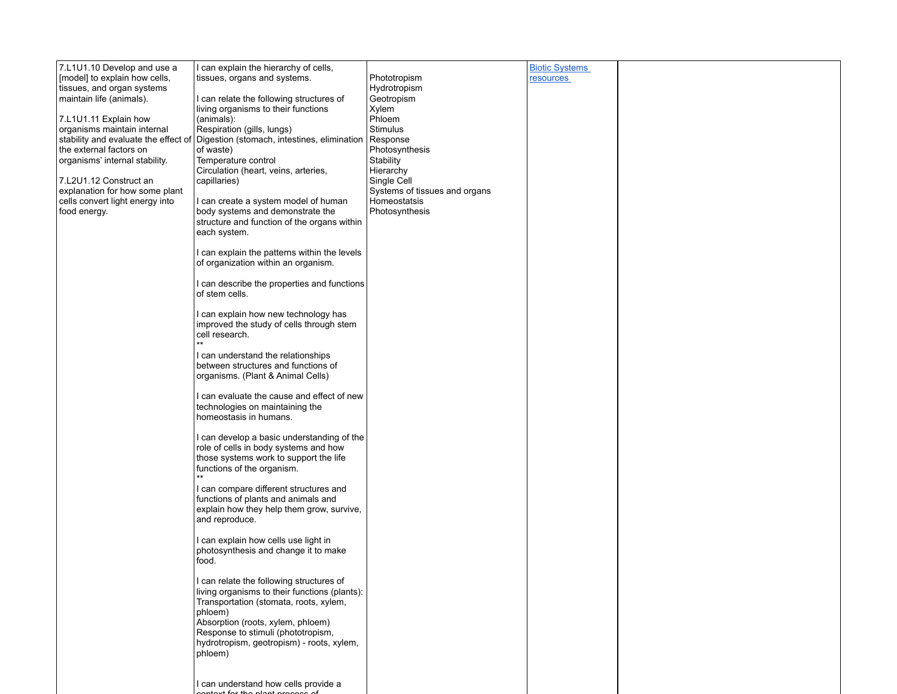| 7.L1U1.10 Develop and use a                              | I can explain the hierarchy of cells,                                                     |                                               | <b>Biotic Systems</b> |  |
|----------------------------------------------------------|-------------------------------------------------------------------------------------------|-----------------------------------------------|-----------------------|--|
| [model] to explain how cells,                            | tissues, organs and systems.                                                              | Phototropism                                  | resources             |  |
| tissues, and organ systems                               |                                                                                           | Hydrotropism                                  |                       |  |
| maintain life (animals).                                 | I can relate the following structures of<br>living organisms to their functions           | Geotropism<br>Xylem                           |                       |  |
| 7.L1U1.11 Explain how                                    | (animals):                                                                                | Phloem                                        |                       |  |
| organisms maintain internal                              | Respiration (gills, lungs)                                                                | Stimulus                                      |                       |  |
| stability and evaluate the effect of                     | Digestion (stomach, intestines, elimination                                               | Response                                      |                       |  |
| the external factors on                                  | of waste)                                                                                 | Photosynthesis                                |                       |  |
| organisms' internal stability.                           | Temperature control                                                                       | Stability                                     |                       |  |
|                                                          | Circulation (heart, veins, arteries,                                                      | Hierarchy                                     |                       |  |
| 7.L2U1.12 Construct an<br>explanation for how some plant | capillaries)                                                                              | Single Cell                                   |                       |  |
| cells convert light energy into                          | I can create a system model of human                                                      | Systems of tissues and organs<br>Homeostatsis |                       |  |
| food energy.                                             | body systems and demonstrate the                                                          | Photosynthesis                                |                       |  |
|                                                          | structure and function of the organs within                                               |                                               |                       |  |
|                                                          | each system.                                                                              |                                               |                       |  |
|                                                          |                                                                                           |                                               |                       |  |
|                                                          | I can explain the patterns within the levels<br>of organization within an organism.       |                                               |                       |  |
|                                                          |                                                                                           |                                               |                       |  |
|                                                          | I can describe the properties and functions                                               |                                               |                       |  |
|                                                          | of stem cells.                                                                            |                                               |                       |  |
|                                                          |                                                                                           |                                               |                       |  |
|                                                          | I can explain how new technology has                                                      |                                               |                       |  |
|                                                          | improved the study of cells through stem                                                  |                                               |                       |  |
|                                                          | cell research.<br>$***$                                                                   |                                               |                       |  |
|                                                          | I can understand the relationships                                                        |                                               |                       |  |
|                                                          | between structures and functions of                                                       |                                               |                       |  |
|                                                          | organisms. (Plant & Animal Cells)                                                         |                                               |                       |  |
|                                                          |                                                                                           |                                               |                       |  |
|                                                          | I can evaluate the cause and effect of new<br>technologies on maintaining the             |                                               |                       |  |
|                                                          | homeostasis in humans.                                                                    |                                               |                       |  |
|                                                          |                                                                                           |                                               |                       |  |
|                                                          | I can develop a basic understanding of the                                                |                                               |                       |  |
|                                                          | role of cells in body systems and how                                                     |                                               |                       |  |
|                                                          | those systems work to support the life<br>functions of the organism.                      |                                               |                       |  |
|                                                          | $***$                                                                                     |                                               |                       |  |
|                                                          | I can compare different structures and                                                    |                                               |                       |  |
|                                                          | functions of plants and animals and                                                       |                                               |                       |  |
|                                                          | explain how they help them grow, survive,                                                 |                                               |                       |  |
|                                                          | and reproduce.                                                                            |                                               |                       |  |
|                                                          | I can explain how cells use light in                                                      |                                               |                       |  |
|                                                          | photosynthesis and change it to make                                                      |                                               |                       |  |
|                                                          | food.                                                                                     |                                               |                       |  |
|                                                          |                                                                                           |                                               |                       |  |
|                                                          | I can relate the following structures of<br>living organisms to their functions (plants): |                                               |                       |  |
|                                                          | Transportation (stomata, roots, xylem,                                                    |                                               |                       |  |
|                                                          | phloem)                                                                                   |                                               |                       |  |
|                                                          | Absorption (roots, xylem, phloem)                                                         |                                               |                       |  |
|                                                          | Response to stimuli (phototropism,                                                        |                                               |                       |  |
|                                                          | hydrotropism, geotropism) - roots, xylem,                                                 |                                               |                       |  |
|                                                          | phloem)                                                                                   |                                               |                       |  |
|                                                          |                                                                                           |                                               |                       |  |
|                                                          | I can understand how cells provide a                                                      |                                               |                       |  |
|                                                          |                                                                                           |                                               |                       |  |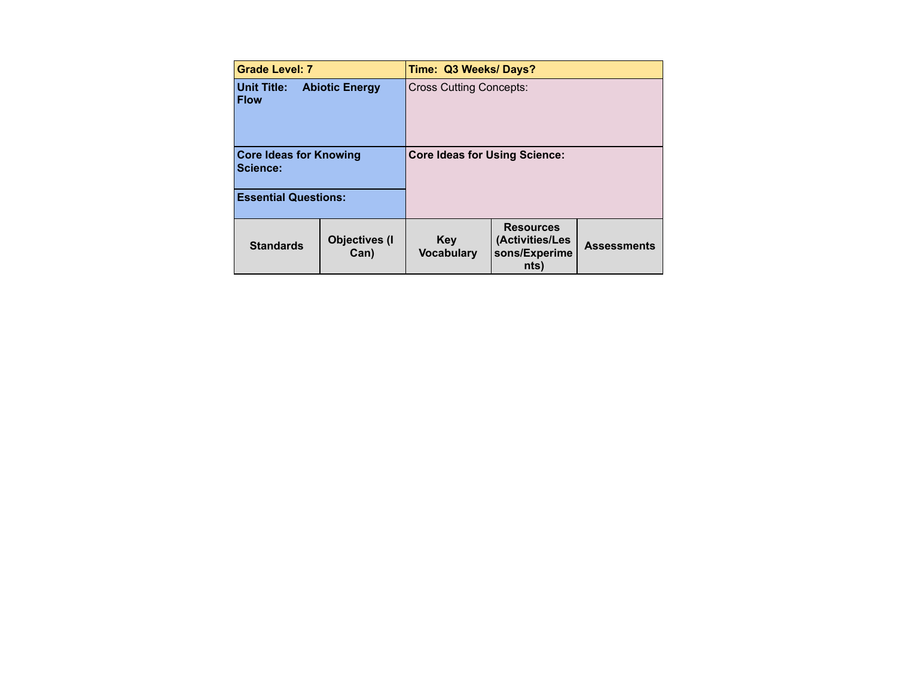| <b>Grade Level: 7</b>                                      |                               | Time: Q3 Weeks/Days?                 |                                                              |                    |
|------------------------------------------------------------|-------------------------------|--------------------------------------|--------------------------------------------------------------|--------------------|
| <b>Unit Title:</b><br><b>Abiotic Energy</b><br><b>Flow</b> |                               | <b>Cross Cutting Concepts:</b>       |                                                              |                    |
| <b>Core Ideas for Knowing</b><br>Science:                  |                               | <b>Core Ideas for Using Science:</b> |                                                              |                    |
| <b>Essential Questions:</b>                                |                               |                                      |                                                              |                    |
| <b>Standards</b>                                           | <b>Objectives (I)</b><br>Can) | <b>Key</b><br><b>Vocabulary</b>      | <b>Resources</b><br>(Activities/Les<br>sons/Experime<br>nts) | <b>Assessments</b> |